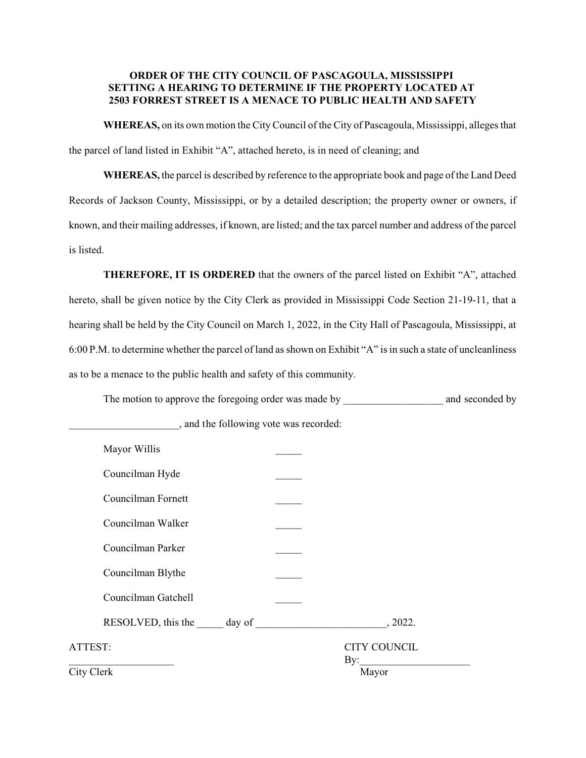## **ORDER OF THE CITY COUNCIL OF PASCAGOULA, MISSISSIPPI SETTING A HEARING TO DETERMINE IF THE PROPERTY LOCATED AT 2503 FORREST STREET IS A MENACE TO PUBLIC HEALTH AND SAFETY**

**WHEREAS,** on its own motion the City Council of the City of Pascagoula, Mississippi, alleges that the parcel of land listed in Exhibit "A", attached hereto, is in need of cleaning; and

**WHEREAS,** the parcel is described by reference to the appropriate book and page of the Land Deed Records of Jackson County, Mississippi, or by a detailed description; the property owner or owners, if known, and their mailing addresses, if known, are listed; and the tax parcel number and address of the parcel is listed.

**THEREFORE, IT IS ORDERED** that the owners of the parcel listed on Exhibit "A", attached hereto, shall be given notice by the City Clerk as provided in Mississippi Code Section 21-19-11, that a hearing shall be held by the City Council on March 1, 2022, in the City Hall of Pascagoula, Mississippi, at 6:00 P.M. to determine whether the parcel of land as shown on Exhibit "A" is in such a state of uncleanliness as to be a menace to the public health and safety of this community.

The motion to approve the foregoing order was made by \_\_\_\_\_\_\_\_\_\_\_\_\_\_\_\_\_\_\_\_\_\_\_\_\_\_ and seconded by

| Mayor Willis<br>Councilman Hyde<br>Councilman Fornett<br>Councilman Walker<br>Councilman Parker<br>Councilman Blythe<br>Councilman Gatchell<br>, 2022.<br><b>CITY COUNCIL</b><br>ATTEST:<br>By:<br>City Clerk<br>Mayor |  |  |
|------------------------------------------------------------------------------------------------------------------------------------------------------------------------------------------------------------------------|--|--|
|                                                                                                                                                                                                                        |  |  |
|                                                                                                                                                                                                                        |  |  |
|                                                                                                                                                                                                                        |  |  |
|                                                                                                                                                                                                                        |  |  |
|                                                                                                                                                                                                                        |  |  |
|                                                                                                                                                                                                                        |  |  |
|                                                                                                                                                                                                                        |  |  |
|                                                                                                                                                                                                                        |  |  |
|                                                                                                                                                                                                                        |  |  |
|                                                                                                                                                                                                                        |  |  |

\_\_\_\_\_\_\_\_\_\_\_\_\_\_\_\_\_\_\_\_\_, and the following vote was recorded: